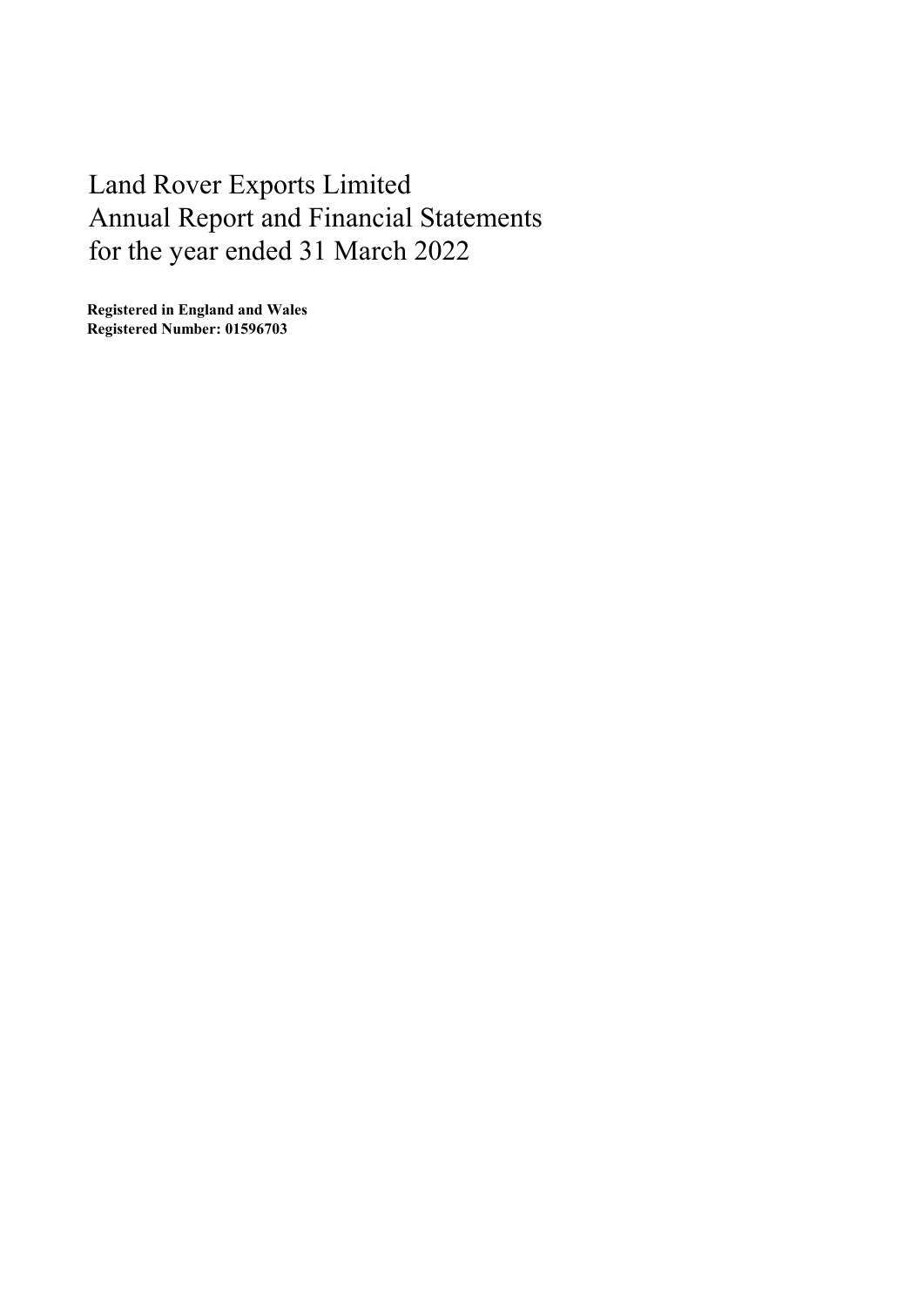Registered in England and Wales Registered Number: 01596703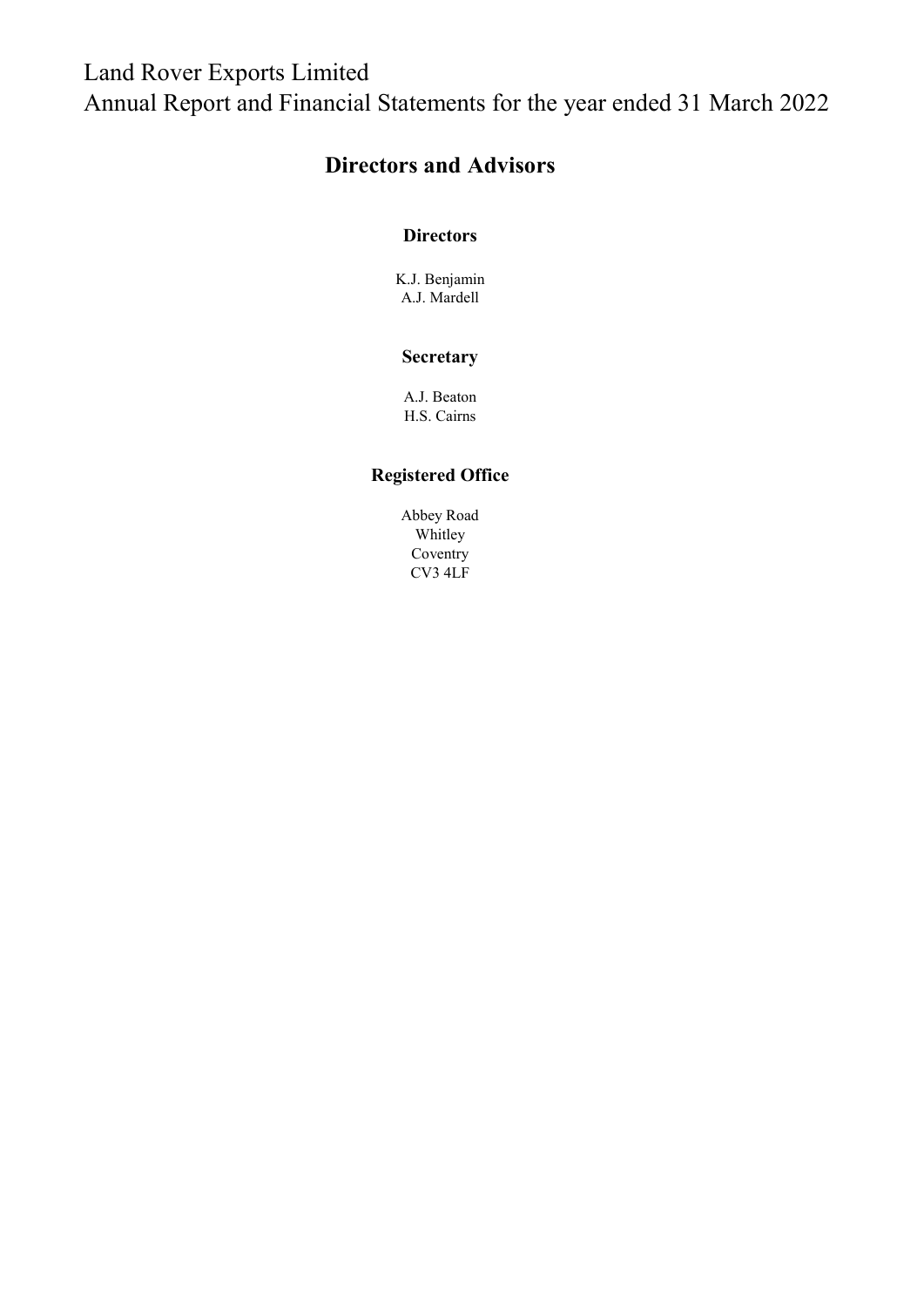### Directors and Advisors

#### **Directors**

K.J. Benjamin A.J. Mardell

#### **Secretary**

A.J. Beaton H.S. Cairns

### Registered Office

Abbey Road Whitley Coventry CV3 4LF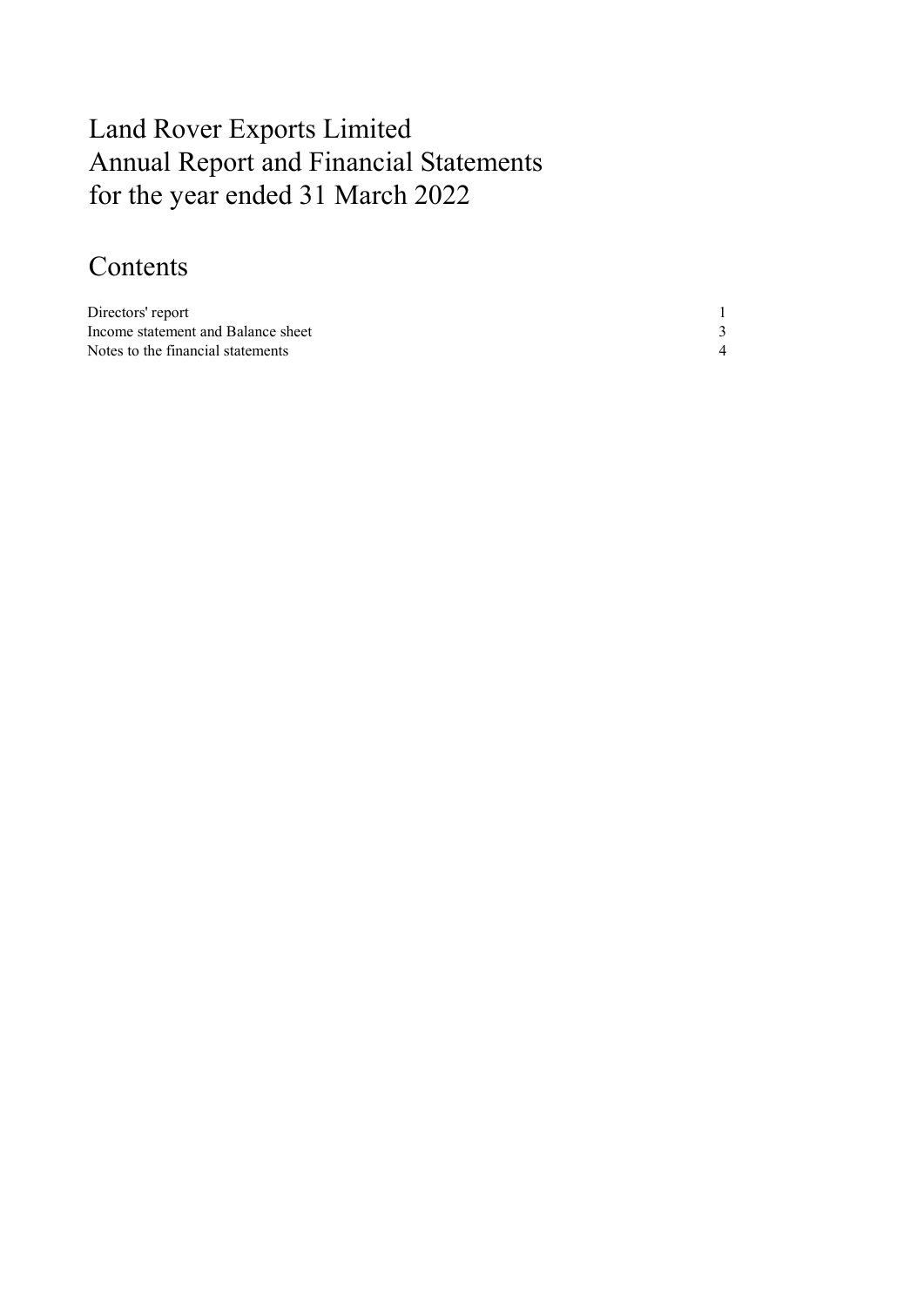# Contents

| Directors' report                  |  |
|------------------------------------|--|
| Income statement and Balance sheet |  |
| Notes to the financial statements  |  |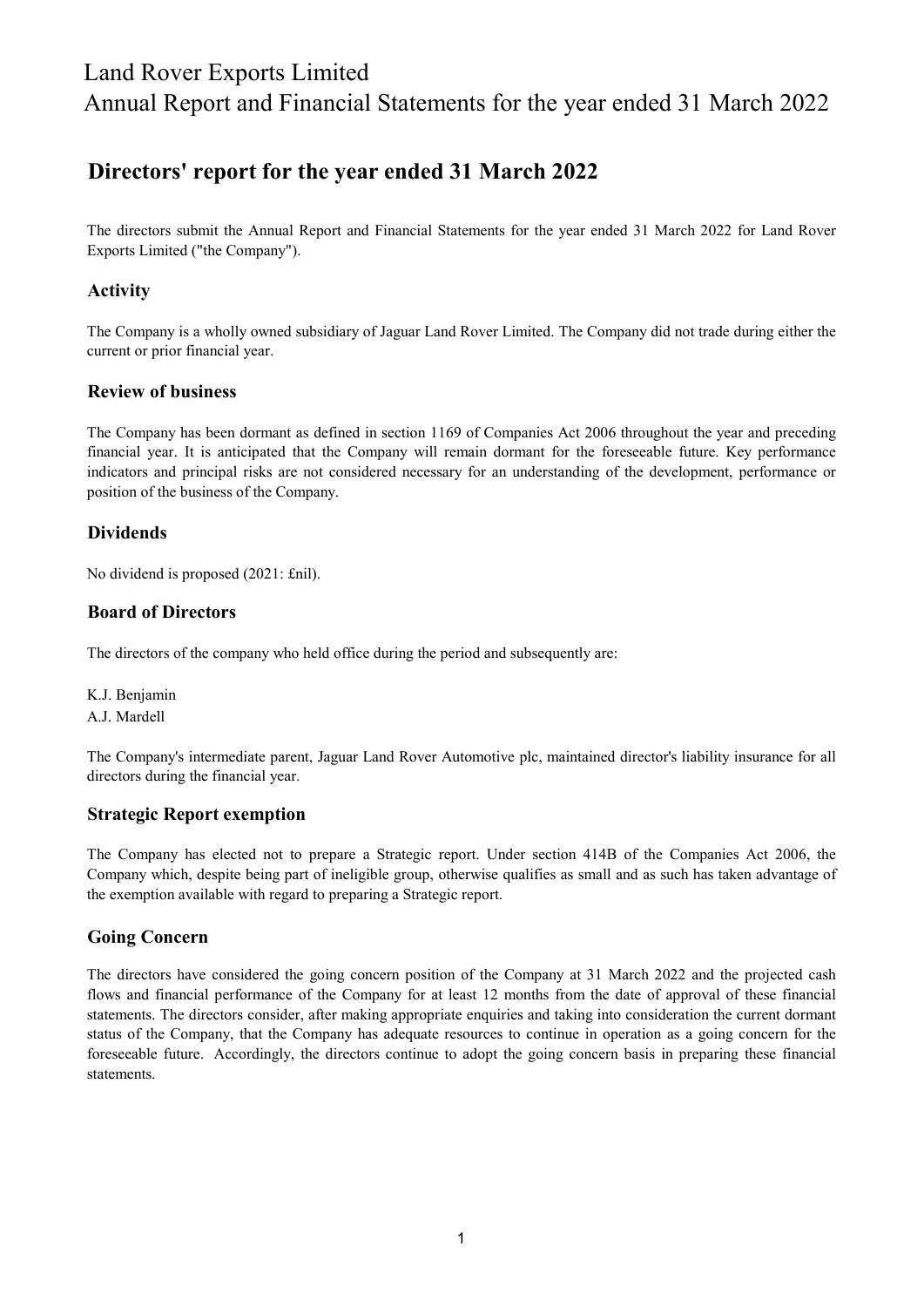### Directors' report for the year ended 31 March 2022

The directors submit the Annual Report and Financial Statements for the year ended 31 March 2022 for Land Rover Exports Limited ("the Company").

#### Activity

The Company is a wholly owned subsidiary of Jaguar Land Rover Limited. The Company did not trade during either the current or prior financial year.

#### Review of business

The Company has been dormant as defined in section 1169 of Companies Act 2006 throughout the year and preceding financial year. It is anticipated that the Company will remain dormant for the foreseeable future. Key performance indicators and principal risks are not considered necessary for an understanding of the development, performance or position of the business of the Company.

#### Dividends

No dividend is proposed (2021: £nil).

#### Board of Directors

The directors of the company who held office during the period and subsequently are:

K.J. Benjamin A.J. Mardell

The Company's intermediate parent, Jaguar Land Rover Automotive plc, maintained director's liability insurance for all directors during the financial year.

#### Strategic Report exemption

The Company has elected not to prepare a Strategic report. Under section 414B of the Companies Act 2006, the Company which, despite being part of ineligible group, otherwise qualifies as small and as such has taken advantage of the exemption available with regard to preparing a Strategic report.

#### Going Concern

The directors have considered the going concern position of the Company at 31 March 2022 and the projected cash flows and financial performance of the Company for at least 12 months from the date of approval of these financial statements. The directors consider, after making appropriate enquiries and taking into consideration the current dormant status of the Company, that the Company has adequate resources to continue in operation as a going concern for the foreseeable future. Accordingly, the directors continue to adopt the going concern basis in preparing these financial statements.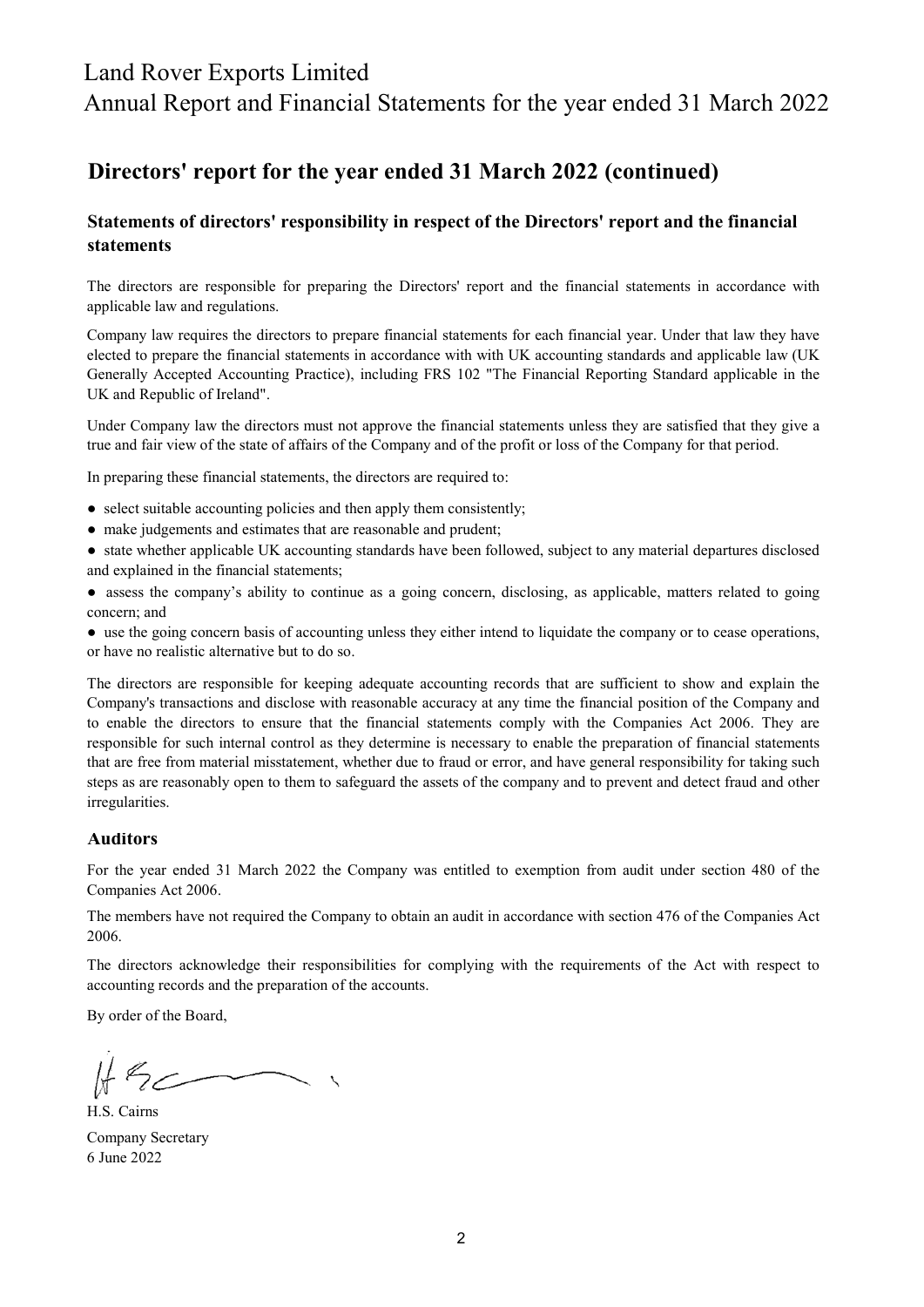### Directors' report for the year ended 31 March 2022 (continued)

#### Statements of directors' responsibility in respect of the Directors' report and the financial statements

The directors are responsible for preparing the Directors' report and the financial statements in accordance with applicable law and regulations.

Company law requires the directors to prepare financial statements for each financial year. Under that law they have elected to prepare the financial statements in accordance with with UK accounting standards and applicable law (UK Generally Accepted Accounting Practice), including FRS 102 "The Financial Reporting Standard applicable in the UK and Republic of Ireland".

Under Company law the directors must not approve the financial statements unless they are satisfied that they give a true and fair view of the state of affairs of the Company and of the profit or loss of the Company for that period.

In preparing these financial statements, the directors are required to:

- select suitable accounting policies and then apply them consistently;
- make judgements and estimates that are reasonable and prudent;
- state whether applicable UK accounting standards have been followed, subject to any material departures disclosed and explained in the financial statements;
- assess the company's ability to continue as a going concern, disclosing, as applicable, matters related to going concern; and

● use the going concern basis of accounting unless they either intend to liquidate the company or to cease operations, or have no realistic alternative but to do so.

The directors are responsible for keeping adequate accounting records that are sufficient to show and explain the Company's transactions and disclose with reasonable accuracy at any time the financial position of the Company and to enable the directors to ensure that the financial statements comply with the Companies Act 2006. They are responsible for such internal control as they determine is necessary to enable the preparation of financial statements that are free from material misstatement, whether due to fraud or error, and have general responsibility for taking such steps as are reasonably open to them to safeguard the assets of the company and to prevent and detect fraud and other irregularities.

#### Auditors

For the year ended 31 March 2022 the Company was entitled to exemption from audit under section 480 of the Companies Act 2006.

The members have not required the Company to obtain an audit in accordance with section 476 of the Companies Act 2006.

The directors acknowledge their responsibilities for complying with the requirements of the Act with respect to accounting records and the preparation of the accounts.

By order of the Board,

H.S. Cairns Company Secretary 6 June 2022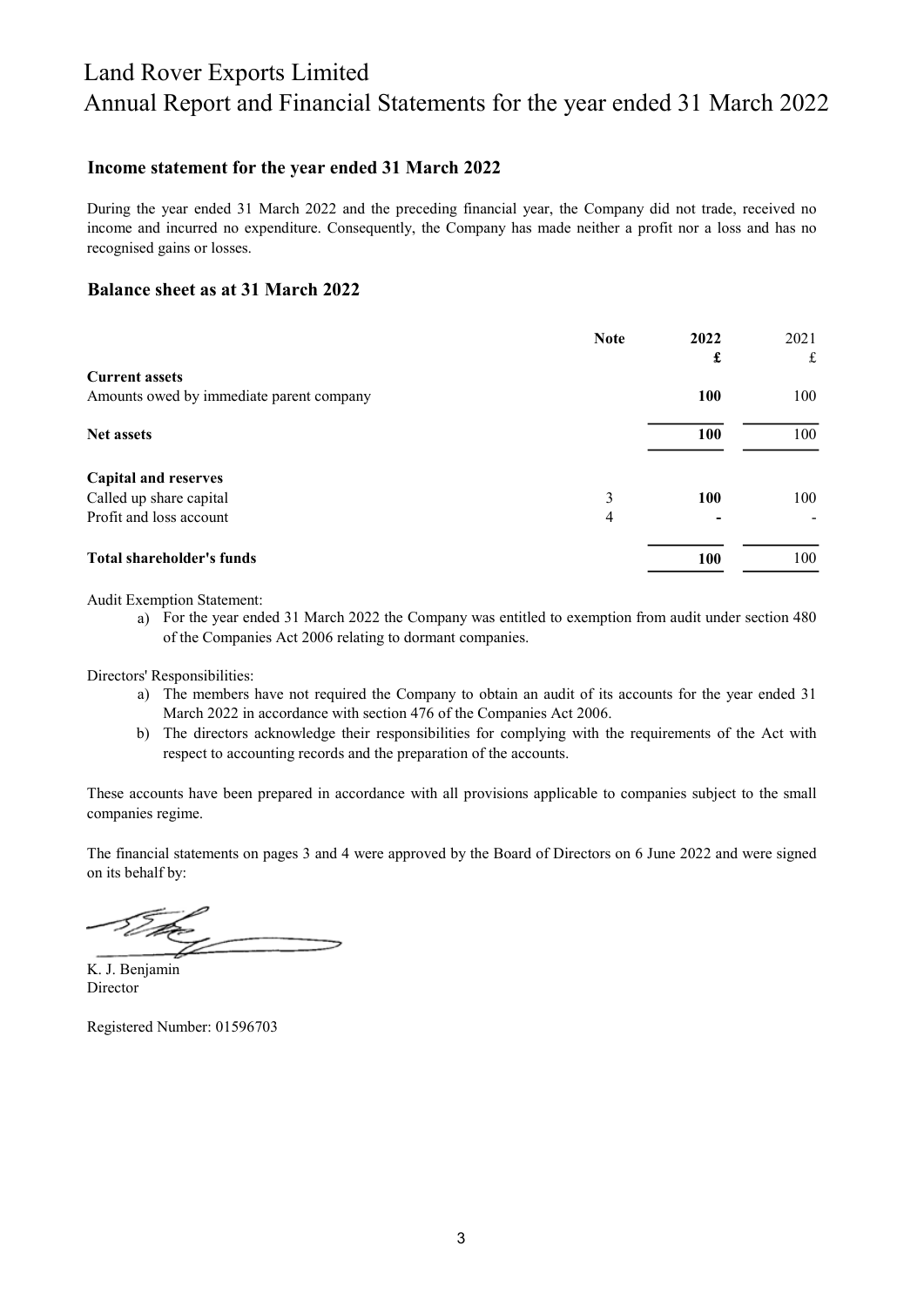#### Income statement for the year ended 31 March 2022

During the year ended 31 March 2022 and the preceding financial year, the Company did not trade, received no income and incurred no expenditure. Consequently, the Company has made neither a profit nor a loss and has no recognised gains or losses.

#### Balance sheet as at 31 March 2022

| <b>Note</b>                              | 2022       | 2021 |
|------------------------------------------|------------|------|
|                                          | £          | £    |
| <b>Current assets</b>                    |            |      |
| Amounts owed by immediate parent company | 100        | 100  |
| <b>Net assets</b>                        | <b>100</b> | 100  |
| <b>Capital and reserves</b>              |            |      |
| Called up share capital<br>3             | 100        | 100  |
| Profit and loss account<br>4             |            |      |
| Total shareholder's funds                | <b>100</b> | 100  |

Audit Exemption Statement:

a) For the year ended 31 March 2022 the Company was entitled to exemption from audit under section 480 of the Companies Act 2006 relating to dormant companies.

Directors' Responsibilities:

- a) The members have not required the Company to obtain an audit of its accounts for the year ended 31 March 2022 in accordance with section 476 of the Companies Act 2006.
- b) The directors acknowledge their responsibilities for complying with the requirements of the Act with respect to accounting records and the preparation of the accounts.

These accounts have been prepared in accordance with all provisions applicable to companies subject to the small companies regime.

The financial statements on pages 3 and 4 were approved by the Board of Directors on 6 June 2022 and were signed on its behalf by:

**Director** K. J. Benjamin

Registered Number: 01596703